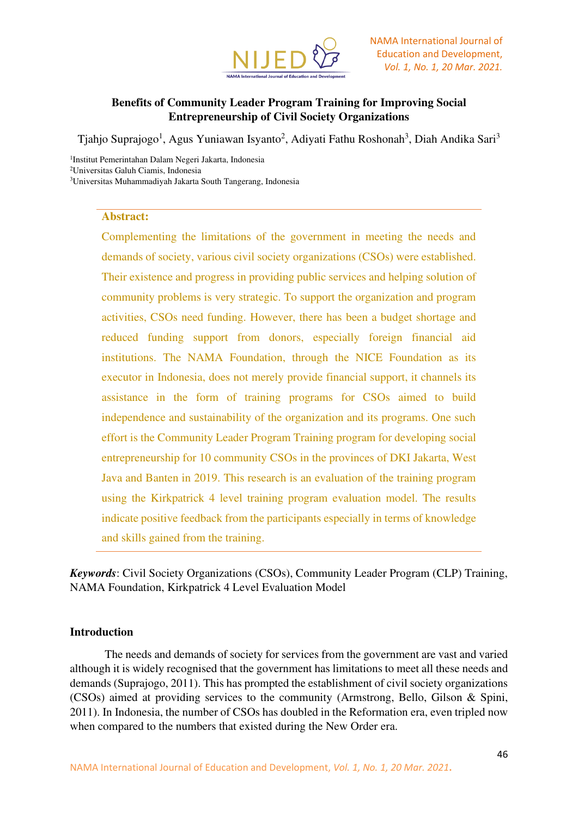

# **Benefits of Community Leader Program Training for Improving Social Entrepreneurship of Civil Society Organizations**

Tjahjo Suprajogo<sup>1</sup>, Agus Yuniawan Isyanto<sup>2</sup>, Adiyati Fathu Roshonah<sup>3</sup>, Diah Andika Sari<sup>3</sup>

1 Institut Pemerintahan Dalam Negeri Jakarta, Indonesia <sup>2</sup>Universitas Galuh Ciamis, Indonesia <sup>3</sup>Universitas Muhammadiyah Jakarta South Tangerang, Indonesia

#### **Abstract:**

Complementing the limitations of the government in meeting the needs and demands of society, various civil society organizations (CSOs) were established. Their existence and progress in providing public services and helping solution of community problems is very strategic. To support the organization and program activities, CSOs need funding. However, there has been a budget shortage and reduced funding support from donors, especially foreign financial aid institutions. The NAMA Foundation, through the NICE Foundation as its executor in Indonesia, does not merely provide financial support, it channels its assistance in the form of training programs for CSOs aimed to build independence and sustainability of the organization and its programs. One such effort is the Community Leader Program Training program for developing social entrepreneurship for 10 community CSOs in the provinces of DKI Jakarta, West Java and Banten in 2019. This research is an evaluation of the training program using the Kirkpatrick 4 level training program evaluation model. The results indicate positive feedback from the participants especially in terms of knowledge and skills gained from the training.

*Keywords*: Civil Society Organizations (CSOs), Community Leader Program (CLP) Training, NAMA Foundation, Kirkpatrick 4 Level Evaluation Model

### **Introduction**

The needs and demands of society for services from the government are vast and varied although it is widely recognised that the government has limitations to meet all these needs and demands (Suprajogo, 2011). This has prompted the establishment of civil society organizations (CSOs) aimed at providing services to the community (Armstrong, Bello, Gilson & Spini, 2011). In Indonesia, the number of CSOs has doubled in the Reformation era, even tripled now when compared to the numbers that existed during the New Order era.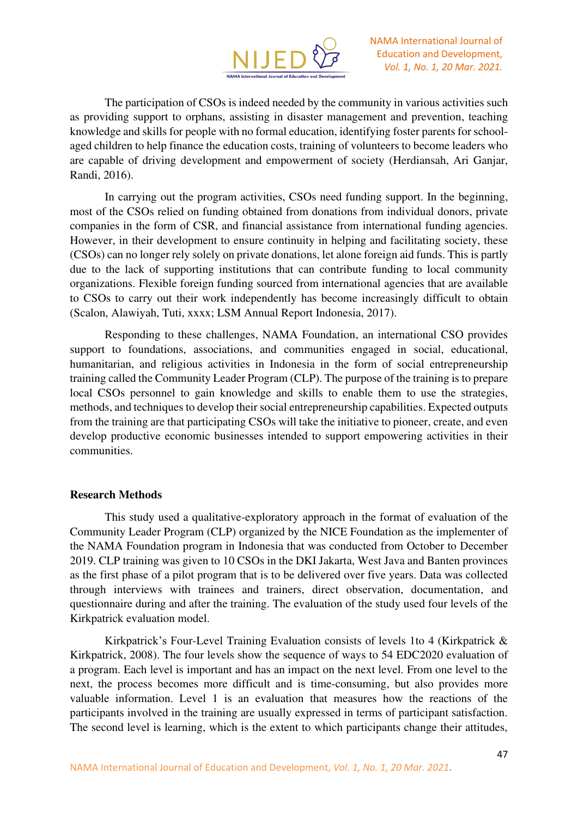

The participation of CSOs is indeed needed by the community in various activities such as providing support to orphans, assisting in disaster management and prevention, teaching knowledge and skills for people with no formal education, identifying foster parents for schoolaged children to help finance the education costs, training of volunteers to become leaders who are capable of driving development and empowerment of society (Herdiansah, Ari Ganjar, Randi, 2016).

In carrying out the program activities, CSOs need funding support. In the beginning, most of the CSOs relied on funding obtained from donations from individual donors, private companies in the form of CSR, and financial assistance from international funding agencies. However, in their development to ensure continuity in helping and facilitating society, these (CSOs) can no longer rely solely on private donations, let alone foreign aid funds. This is partly due to the lack of supporting institutions that can contribute funding to local community organizations. Flexible foreign funding sourced from international agencies that are available to CSOs to carry out their work independently has become increasingly difficult to obtain (Scalon, Alawiyah, Tuti, xxxx; LSM Annual Report Indonesia, 2017).

Responding to these challenges, NAMA Foundation, an international CSO provides support to foundations, associations, and communities engaged in social, educational, humanitarian, and religious activities in Indonesia in the form of social entrepreneurship training called the Community Leader Program (CLP). The purpose of the training is to prepare local CSOs personnel to gain knowledge and skills to enable them to use the strategies, methods, and techniques to develop their social entrepreneurship capabilities. Expected outputs from the training are that participating CSOs will take the initiative to pioneer, create, and even develop productive economic businesses intended to support empowering activities in their communities.

#### **Research Methods**

This study used a qualitative-exploratory approach in the format of evaluation of the Community Leader Program (CLP) organized by the NICE Foundation as the implementer of the NAMA Foundation program in Indonesia that was conducted from October to December 2019. CLP training was given to 10 CSOs in the DKI Jakarta, West Java and Banten provinces as the first phase of a pilot program that is to be delivered over five years. Data was collected through interviews with trainees and trainers, direct observation, documentation, and questionnaire during and after the training. The evaluation of the study used four levels of the Kirkpatrick evaluation model.

Kirkpatrick's Four-Level Training Evaluation consists of levels 1to 4 (Kirkpatrick & Kirkpatrick, 2008). The four levels show the sequence of ways to 54 EDC2020 evaluation of a program. Each level is important and has an impact on the next level. From one level to the next, the process becomes more difficult and is time-consuming, but also provides more valuable information. Level 1 is an evaluation that measures how the reactions of the participants involved in the training are usually expressed in terms of participant satisfaction. The second level is learning, which is the extent to which participants change their attitudes,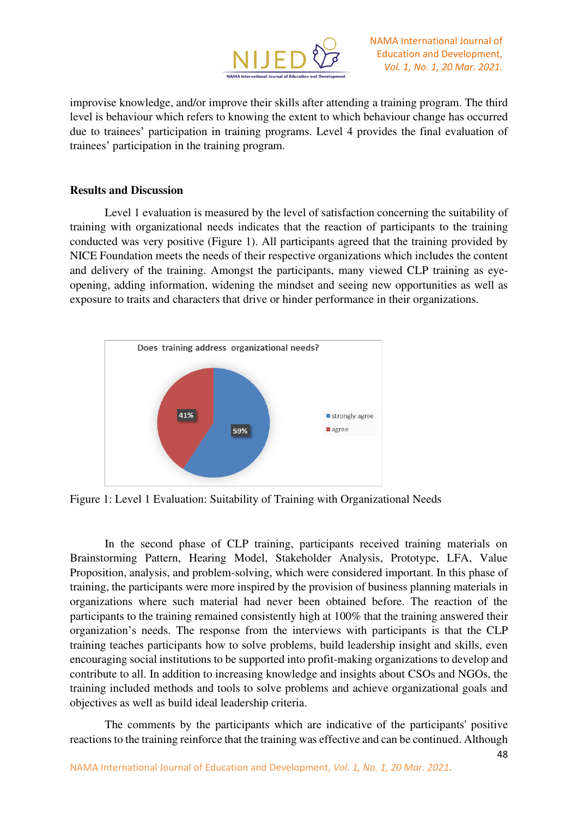

NAMA International Journal of Education and Development, *Vol. 1, No. 1, 20 Mar. 2021.*

improvise knowledge, and/or improve their skills after attending a training program. The third level is behaviour which refers to knowing the extent to which behaviour change has occurred due to trainees' participation in training programs. Level 4 provides the final evaluation of trainees' participation in the training program.

### **Results and Discussion**

Level 1 evaluation is measured by the level of satisfaction concerning the suitability of training with organizational needs indicates that the reaction of participants to the training conducted was very positive (Figure 1). All participants agreed that the training provided by NICE Foundation meets the needs of their respective organizations which includes the content and delivery of the training. Amongst the participants, many viewed CLP training as eyeopening, adding information, widening the mindset and seeing new opportunities as well as exposure to traits and characters that drive or hinder performance in their organizations.



Figure 1: Level 1 Evaluation: Suitability of Training with Organizational Needs

In the second phase of CLP training, participants received training materials on Brainstorming Pattern, Hearing Model, Stakeholder Analysis, Prototype, LFA, Value Proposition, analysis, and problem-solving, which were considered important. In this phase of training, the participants were more inspired by the provision of business planning materials in organizations where such material had never been obtained before. The reaction of the participants to the training remained consistently high at 100% that the training answered their organization's needs. The response from the interviews with participants is that the CLP training teaches participants how to solve problems, build leadership insight and skills, even encouraging social institutions to be supported into profit-making organizations to develop and contribute to all. In addition to increasing knowledge and insights about CSOs and NGOs, the training included methods and tools to solve problems and achieve organizational goals and objectives as well as build ideal leadership criteria.

The comments by the participants which are indicative of the participants' positive reactions to the training reinforce that the training was effective and can be continued. Although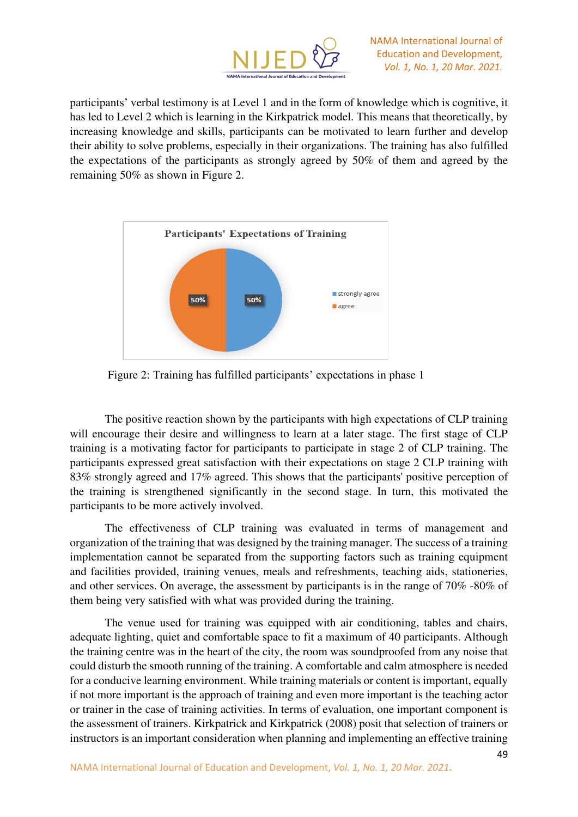

participants' verbal testimony is at Level 1 and in the form of knowledge which is cognitive, it has led to Level 2 which is learning in the Kirkpatrick model. This means that theoretically, by increasing knowledge and skills, participants can be motivated to learn further and develop their ability to solve problems, especially in their organizations. The training has also fulfilled the expectations of the participants as strongly agreed by 50% of them and agreed by the remaining 50% as shown in Figure 2.



Figure 2: Training has fulfilled participants' expectations in phase 1

The positive reaction shown by the participants with high expectations of CLP training will encourage their desire and willingness to learn at a later stage. The first stage of CLP training is a motivating factor for participants to participate in stage 2 of CLP training. The participants expressed great satisfaction with their expectations on stage 2 CLP training with 83% strongly agreed and 17% agreed. This shows that the participants' positive perception of the training is strengthened significantly in the second stage. In turn, this motivated the participants to be more actively involved.

The effectiveness of CLP training was evaluated in terms of management and organization of the training that was designed by the training manager. The success of a training implementation cannot be separated from the supporting factors such as training equipment and facilities provided, training venues, meals and refreshments, teaching aids, stationeries, and other services. On average, the assessment by participants is in the range of 70% -80% of them being very satisfied with what was provided during the training.

The venue used for training was equipped with air conditioning, tables and chairs, adequate lighting, quiet and comfortable space to fit a maximum of 40 participants. Although the training centre was in the heart of the city, the room was soundproofed from any noise that could disturb the smooth running of the training. A comfortable and calm atmosphere is needed for a conducive learning environment. While training materials or content is important, equally if not more important is the approach of training and even more important is the teaching actor or trainer in the case of training activities. In terms of evaluation, one important component is the assessment of trainers. Kirkpatrick and Kirkpatrick (2008) posit that selection of trainers or instructors is an important consideration when planning and implementing an effective training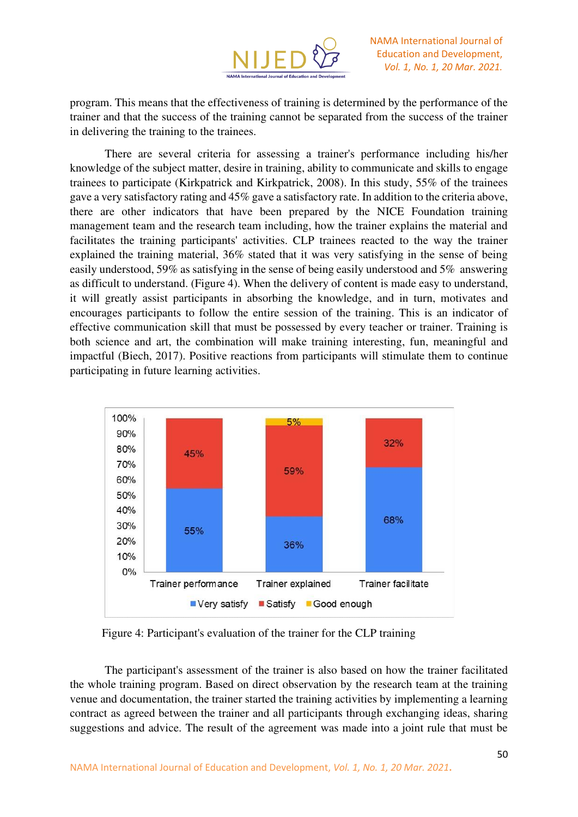

program. This means that the effectiveness of training is determined by the performance of the trainer and that the success of the training cannot be separated from the success of the trainer in delivering the training to the trainees.

There are several criteria for assessing a trainer's performance including his/her knowledge of the subject matter, desire in training, ability to communicate and skills to engage trainees to participate (Kirkpatrick and Kirkpatrick, 2008). In this study, 55% of the trainees gave a very satisfactory rating and 45% gave a satisfactory rate. In addition to the criteria above, there are other indicators that have been prepared by the NICE Foundation training management team and the research team including, how the trainer explains the material and facilitates the training participants' activities. CLP trainees reacted to the way the trainer explained the training material, 36% stated that it was very satisfying in the sense of being easily understood, 59% as satisfying in the sense of being easily understood and 5% answering as difficult to understand. (Figure 4). When the delivery of content is made easy to understand, it will greatly assist participants in absorbing the knowledge, and in turn, motivates and encourages participants to follow the entire session of the training. This is an indicator of effective communication skill that must be possessed by every teacher or trainer. Training is both science and art, the combination will make training interesting, fun, meaningful and impactful (Biech, 2017). Positive reactions from participants will stimulate them to continue participating in future learning activities.



Figure 4: Participant's evaluation of the trainer for the CLP training

The participant's assessment of the trainer is also based on how the trainer facilitated the whole training program. Based on direct observation by the research team at the training venue and documentation, the trainer started the training activities by implementing a learning contract as agreed between the trainer and all participants through exchanging ideas, sharing suggestions and advice. The result of the agreement was made into a joint rule that must be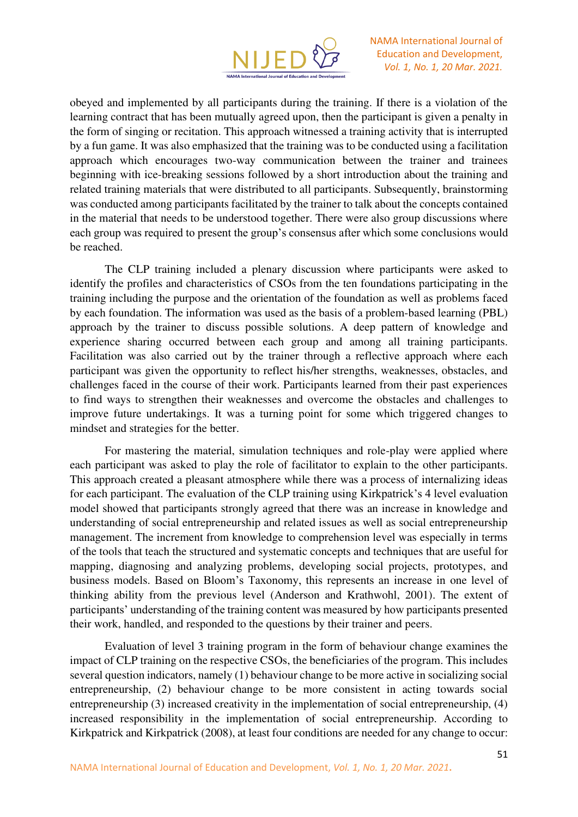

obeyed and implemented by all participants during the training. If there is a violation of the learning contract that has been mutually agreed upon, then the participant is given a penalty in the form of singing or recitation. This approach witnessed a training activity that is interrupted by a fun game. It was also emphasized that the training was to be conducted using a facilitation approach which encourages two-way communication between the trainer and trainees beginning with ice-breaking sessions followed by a short introduction about the training and related training materials that were distributed to all participants. Subsequently, brainstorming was conducted among participants facilitated by the trainer to talk about the concepts contained in the material that needs to be understood together. There were also group discussions where each group was required to present the group's consensus after which some conclusions would be reached.

The CLP training included a plenary discussion where participants were asked to identify the profiles and characteristics of CSOs from the ten foundations participating in the training including the purpose and the orientation of the foundation as well as problems faced by each foundation. The information was used as the basis of a problem-based learning (PBL) approach by the trainer to discuss possible solutions. A deep pattern of knowledge and experience sharing occurred between each group and among all training participants. Facilitation was also carried out by the trainer through a reflective approach where each participant was given the opportunity to reflect his/her strengths, weaknesses, obstacles, and challenges faced in the course of their work. Participants learned from their past experiences to find ways to strengthen their weaknesses and overcome the obstacles and challenges to improve future undertakings. It was a turning point for some which triggered changes to mindset and strategies for the better.

For mastering the material, simulation techniques and role-play were applied where each participant was asked to play the role of facilitator to explain to the other participants. This approach created a pleasant atmosphere while there was a process of internalizing ideas for each participant. The evaluation of the CLP training using Kirkpatrick's 4 level evaluation model showed that participants strongly agreed that there was an increase in knowledge and understanding of social entrepreneurship and related issues as well as social entrepreneurship management. The increment from knowledge to comprehension level was especially in terms of the tools that teach the structured and systematic concepts and techniques that are useful for mapping, diagnosing and analyzing problems, developing social projects, prototypes, and business models. Based on Bloom's Taxonomy, this represents an increase in one level of thinking ability from the previous level (Anderson and Krathwohl, 2001). The extent of participants' understanding of the training content was measured by how participants presented their work, handled, and responded to the questions by their trainer and peers.

Evaluation of level 3 training program in the form of behaviour change examines the impact of CLP training on the respective CSOs, the beneficiaries of the program. This includes several question indicators, namely (1) behaviour change to be more active in socializing social entrepreneurship, (2) behaviour change to be more consistent in acting towards social entrepreneurship (3) increased creativity in the implementation of social entrepreneurship, (4) increased responsibility in the implementation of social entrepreneurship. According to Kirkpatrick and Kirkpatrick (2008), at least four conditions are needed for any change to occur: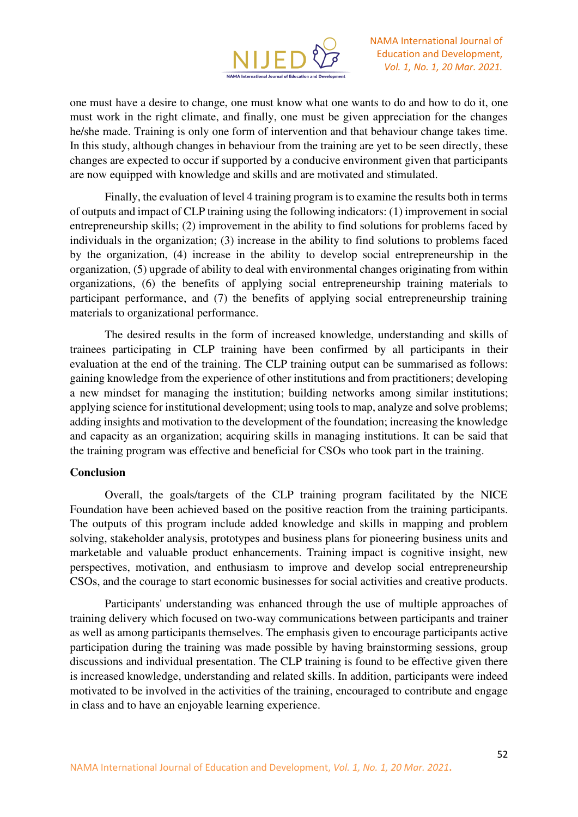

one must have a desire to change, one must know what one wants to do and how to do it, one must work in the right climate, and finally, one must be given appreciation for the changes he/she made. Training is only one form of intervention and that behaviour change takes time. In this study, although changes in behaviour from the training are yet to be seen directly, these changes are expected to occur if supported by a conducive environment given that participants are now equipped with knowledge and skills and are motivated and stimulated.

Finally, the evaluation of level 4 training program is to examine the results both in terms of outputs and impact of CLP training using the following indicators: (1) improvement in social entrepreneurship skills; (2) improvement in the ability to find solutions for problems faced by individuals in the organization; (3) increase in the ability to find solutions to problems faced by the organization, (4) increase in the ability to develop social entrepreneurship in the organization, (5) upgrade of ability to deal with environmental changes originating from within organizations, (6) the benefits of applying social entrepreneurship training materials to participant performance, and (7) the benefits of applying social entrepreneurship training materials to organizational performance.

The desired results in the form of increased knowledge, understanding and skills of trainees participating in CLP training have been confirmed by all participants in their evaluation at the end of the training. The CLP training output can be summarised as follows: gaining knowledge from the experience of other institutions and from practitioners; developing a new mindset for managing the institution; building networks among similar institutions; applying science for institutional development; using tools to map, analyze and solve problems; adding insights and motivation to the development of the foundation; increasing the knowledge and capacity as an organization; acquiring skills in managing institutions. It can be said that the training program was effective and beneficial for CSOs who took part in the training.

#### **Conclusion**

Overall, the goals/targets of the CLP training program facilitated by the NICE Foundation have been achieved based on the positive reaction from the training participants. The outputs of this program include added knowledge and skills in mapping and problem solving, stakeholder analysis, prototypes and business plans for pioneering business units and marketable and valuable product enhancements. Training impact is cognitive insight, new perspectives, motivation, and enthusiasm to improve and develop social entrepreneurship CSOs, and the courage to start economic businesses for social activities and creative products.

Participants' understanding was enhanced through the use of multiple approaches of training delivery which focused on two-way communications between participants and trainer as well as among participants themselves. The emphasis given to encourage participants active participation during the training was made possible by having brainstorming sessions, group discussions and individual presentation. The CLP training is found to be effective given there is increased knowledge, understanding and related skills. In addition, participants were indeed motivated to be involved in the activities of the training, encouraged to contribute and engage in class and to have an enjoyable learning experience.